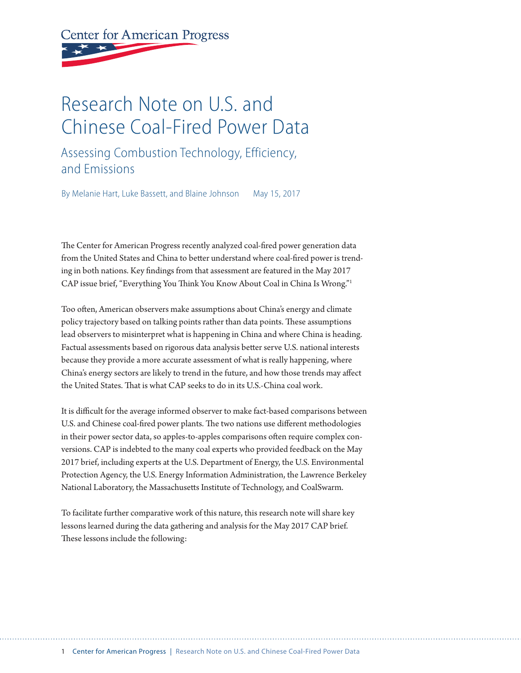# **Center for American Progress**

# Research Note on U.S. and Chinese Coal-Fired Power Data

### Assessing Combustion Technology, Efficiency, and Emissions

By Melanie Hart, Luke Bassett, and Blaine Johnson May 15, 2017

The Center for American Progress recently analyzed coal-fired power generation data from the United States and China to better understand where coal-fired power is trending in both nations. Key findings from that assessment are featured in the May 2017 CAP issue brief, "Everything You Think You Know About Coal in China Is Wrong."1

Too often, American observers make assumptions about China's energy and climate policy trajectory based on talking points rather than data points. These assumptions lead observers to misinterpret what is happening in China and where China is heading. Factual assessments based on rigorous data analysis better serve U.S. national interests because they provide a more accurate assessment of what is really happening, where China's energy sectors are likely to trend in the future, and how those trends may affect the United States. That is what CAP seeks to do in its U.S.-China coal work.

It is difficult for the average informed observer to make fact-based comparisons between U.S. and Chinese coal-fired power plants. The two nations use different methodologies in their power sector data, so apples-to-apples comparisons often require complex conversions. CAP is indebted to the many coal experts who provided feedback on the May 2017 brief, including experts at the U.S. Department of Energy, the U.S. Environmental Protection Agency, the U.S. Energy Information Administration, the Lawrence Berkeley National Laboratory, the Massachusetts Institute of Technology, and CoalSwarm.

To facilitate further comparative work of this nature, this research note will share key lessons learned during the data gathering and analysis for the May 2017 CAP brief. These lessons include the following: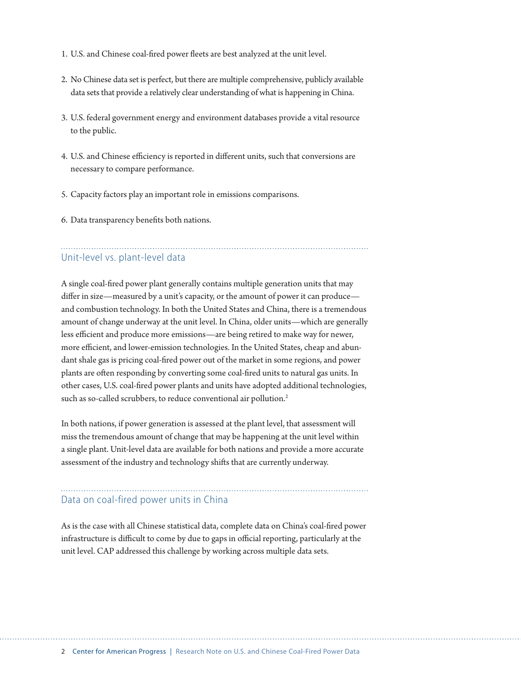- 1. U.S. and Chinese coal-fired power fleets are best analyzed at the unit level.
- 2. No Chinese data set is perfect, but there are multiple comprehensive, publicly available data sets that provide a relatively clear understanding of what is happening in China.
- 3. U.S. federal government energy and environment databases provide a vital resource to the public.
- 4. U.S. and Chinese efficiency is reported in different units, such that conversions are necessary to compare performance.
- 5. Capacity factors play an important role in emissions comparisons.
- 6. Data transparency benefits both nations.

#### Unit-level vs. plant-level data

A single coal-fired power plant generally contains multiple generation units that may differ in size—measured by a unit's capacity, or the amount of power it can produce and combustion technology. In both the United States and China, there is a tremendous amount of change underway at the unit level. In China, older units—which are generally less efficient and produce more emissions—are being retired to make way for newer, more efficient, and lower-emission technologies. In the United States, cheap and abundant shale gas is pricing coal-fired power out of the market in some regions, and power plants are often responding by converting some coal-fired units to natural gas units. In other cases, U.S. coal-fired power plants and units have adopted additional technologies, such as so-called scrubbers, to reduce conventional air pollution.<sup>2</sup>

In both nations, if power generation is assessed at the plant level, that assessment will miss the tremendous amount of change that may be happening at the unit level within a single plant. Unit-level data are available for both nations and provide a more accurate assessment of the industry and technology shifts that are currently underway.

#### Data on coal-fired power units in China

As is the case with all Chinese statistical data, complete data on China's coal-fired power infrastructure is difficult to come by due to gaps in official reporting, particularly at the unit level. CAP addressed this challenge by working across multiple data sets.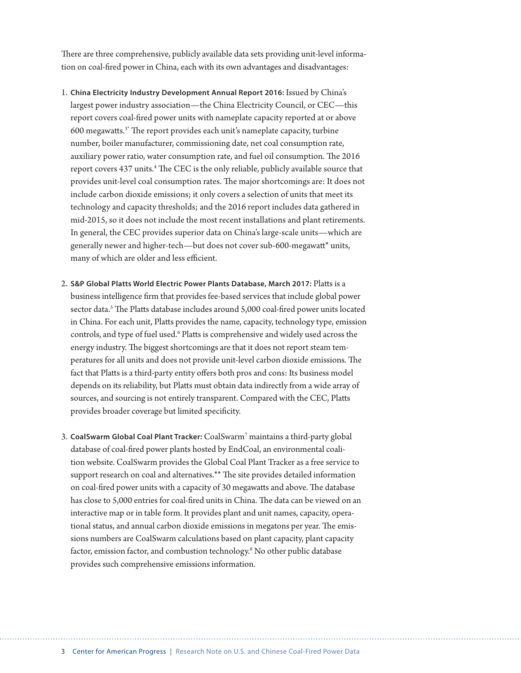There are three comprehensive, publicly available data sets providing unit-level information on coal-fired power in China, each with its own advantages and disadvantages:

- 1. **China Electricity Industry Development Annual Report 2016:** Issued by China's largest power industry association—the China Electricity Council, or CEC—this report covers coal-fired power units with nameplate capacity reported at or above 600 megawatts.3\* The report provides each unit's nameplate capacity, turbine number, boiler manufacturer, commissioning date, net coal consumption rate, auxiliary power ratio, water consumption rate, and fuel oil consumption. The 2016 report covers 437 units.<sup>4</sup> The CEC is the only reliable, publicly available source that provides unit-level coal consumption rates. The major shortcomings are: It does not include carbon dioxide emissions; it only covers a selection of units that meet its technology and capacity thresholds; and the 2016 report includes data gathered in mid-2015, so it does not include the most recent installations and plant retirements. In general, the CEC provides superior data on China's large-scale units—which are generally newer and higher-tech—but does not cover sub-600-megawatt\* units, many of which are older and less efficient.
- 2. **S&P Global Platts World Electric Power Plants Database, March 2017:** Platts is a business intelligence firm that provides fee-based services that include global power sector data.<sup>5</sup> The Platts database includes around 5,000 coal-fired power units located in China. For each unit, Platts provides the name, capacity, technology type, emission controls, and type of fuel used.<sup>6</sup> Platts is comprehensive and widely used across the energy industry. The biggest shortcomings are that it does not report steam temperatures for all units and does not provide unit-level carbon dioxide emissions. The fact that Platts is a third-party entity offers both pros and cons: Its business model depends on its reliability, but Platts must obtain data indirectly from a wide array of sources, and sourcing is not entirely transparent. Compared with the CEC, Platts provides broader coverage but limited specificity.
- 3. **CoalSwarm Global Coal Plant Tracker:** CoalSwarm7 maintains a third-party global database of coal-fired power plants hosted by EndCoal, an environmental coalition website. CoalSwarm provides the Global Coal Plant Tracker as a free service to support research on coal and alternatives.\*\* The site provides detailed information on coal-fired power units with a capacity of 30 megawatts and above. The database has close to 5,000 entries for coal-fired units in China. The data can be viewed on an interactive map or in table form. It provides plant and unit names, capacity, operational status, and annual carbon dioxide emissions in megatons per year. The emissions numbers are CoalSwarm calculations based on plant capacity, plant capacity factor, emission factor, and combustion technology.<sup>8</sup> No other public database provides such comprehensive emissions information.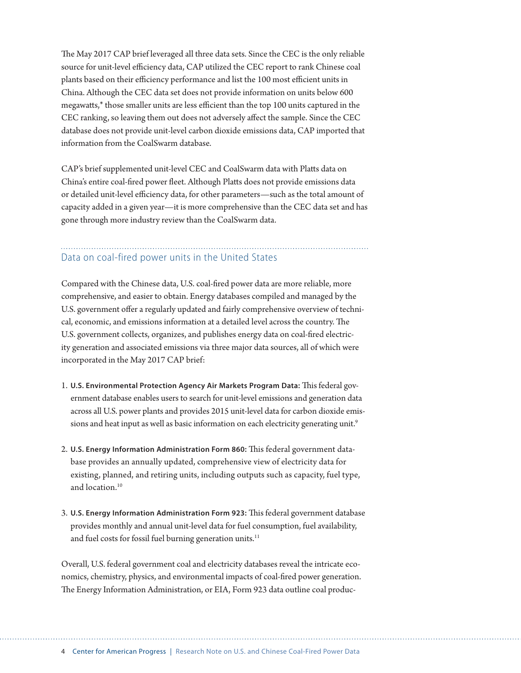The May 2017 CAP brief leveraged all three data sets. Since the CEC is the only reliable source for unit-level efficiency data, CAP utilized the CEC report to rank Chinese coal plants based on their efficiency performance and list the 100 most efficient units in China. Although the CEC data set does not provide information on units below 600 megawatts,\* those smaller units are less efficient than the top 100 units captured in the CEC ranking, so leaving them out does not adversely affect the sample. Since the CEC database does not provide unit-level carbon dioxide emissions data, CAP imported that information from the CoalSwarm database.

CAP's brief supplemented unit-level CEC and CoalSwarm data with Platts data on China's entire coal-fired power fleet. Although Platts does not provide emissions data or detailed unit-level efficiency data, for other parameters—such as the total amount of capacity added in a given year—it is more comprehensive than the CEC data set and has gone through more industry review than the CoalSwarm data.

#### Data on coal-fired power units in the United States

Compared with the Chinese data, U.S. coal-fired power data are more reliable, more comprehensive, and easier to obtain. Energy databases compiled and managed by the U.S. government offer a regularly updated and fairly comprehensive overview of technical, economic, and emissions information at a detailed level across the country. The U.S. government collects, organizes, and publishes energy data on coal-fired electricity generation and associated emissions via three major data sources, all of which were incorporated in the May 2017 CAP brief:

- 1. **U.S. Environmental Protection Agency Air Markets Program Data:** This federal government database enables users to search for unit-level emissions and generation data across all U.S. power plants and provides 2015 unit-level data for carbon dioxide emissions and heat input as well as basic information on each electricity generating unit.<sup>9</sup>
- 2. **U.S. Energy Information Administration Form 860:** This federal government database provides an annually updated, comprehensive view of electricity data for existing, planned, and retiring units, including outputs such as capacity, fuel type, and location.<sup>10</sup>
- 3. **U.S. Energy Information Administration Form 923:** This federal government database provides monthly and annual unit-level data for fuel consumption, fuel availability, and fuel costs for fossil fuel burning generation units.<sup>11</sup>

Overall, U.S. federal government coal and electricity databases reveal the intricate economics, chemistry, physics, and environmental impacts of coal-fired power generation. The Energy Information Administration, or EIA, Form 923 data outline coal produc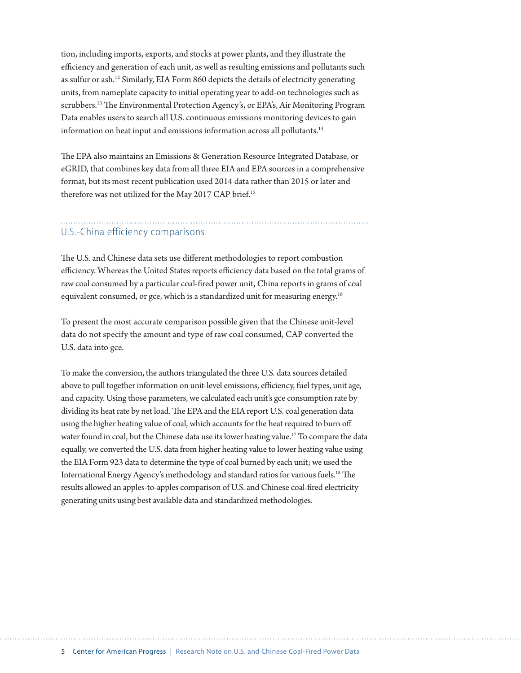tion, including imports, exports, and stocks at power plants, and they illustrate the efficiency and generation of each unit, as well as resulting emissions and pollutants such as sulfur or ash.12 Similarly, EIA Form 860 depicts the details of electricity generating units, from nameplate capacity to initial operating year to add-on technologies such as scrubbers.<sup>13</sup> The Environmental Protection Agency's, or EPA's, Air Monitoring Program Data enables users to search all U.S. continuous emissions monitoring devices to gain information on heat input and emissions information across all pollutants.<sup>14</sup>

The EPA also maintains an Emissions & Generation Resource Integrated Database, or eGRID, that combines key data from all three EIA and EPA sources in a comprehensive format, but its most recent publication used 2014 data rather than 2015 or later and therefore was not utilized for the May 2017 CAP brief.<sup>15</sup>

#### U.S.-China efficiency comparisons

The U.S. and Chinese data sets use different methodologies to report combustion efficiency. Whereas the United States reports efficiency data based on the total grams of raw coal consumed by a particular coal-fired power unit, China reports in grams of coal equivalent consumed, or gce, which is a standardized unit for measuring energy.<sup>16</sup>

To present the most accurate comparison possible given that the Chinese unit-level data do not specify the amount and type of raw coal consumed, CAP converted the U.S. data into gce.

To make the conversion, the authors triangulated the three U.S. data sources detailed above to pull together information on unit-level emissions, efficiency, fuel types, unit age, and capacity. Using those parameters, we calculated each unit's gce consumption rate by dividing its heat rate by net load. The EPA and the EIA report U.S. coal generation data using the higher heating value of coal, which accounts for the heat required to burn off water found in coal, but the Chinese data use its lower heating value.<sup>17</sup> To compare the data equally, we converted the U.S. data from higher heating value to lower heating value using the EIA Form 923 data to determine the type of coal burned by each unit; we used the International Energy Agency's methodology and standard ratios for various fuels.18 The results allowed an apples-to-apples comparison of U.S. and Chinese coal-fired electricity generating units using best available data and standardized methodologies.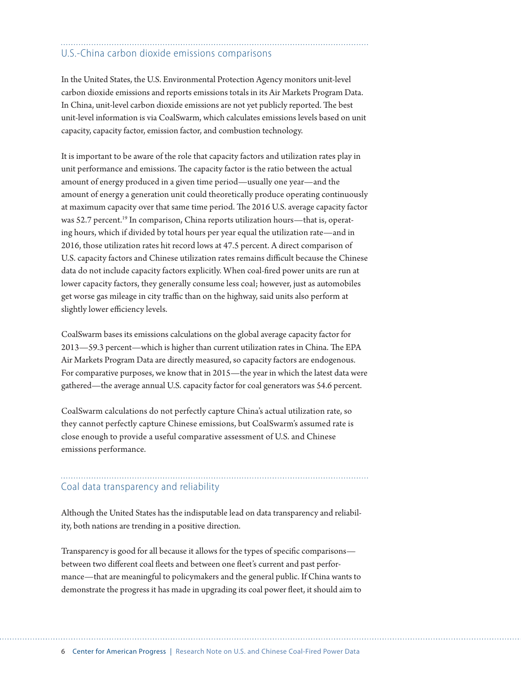# U.S.-China carbon dioxide emissions comparisons

In the United States, the U.S. Environmental Protection Agency monitors unit-level carbon dioxide emissions and reports emissions totals in its Air Markets Program Data. In China, unit-level carbon dioxide emissions are not yet publicly reported. The best unit-level information is via CoalSwarm, which calculates emissions levels based on unit capacity, capacity factor, emission factor, and combustion technology.

It is important to be aware of the role that capacity factors and utilization rates play in unit performance and emissions. The capacity factor is the ratio between the actual amount of energy produced in a given time period—usually one year—and the amount of energy a generation unit could theoretically produce operating continuously at maximum capacity over that same time period. The 2016 U.S. average capacity factor was 52.7 percent.<sup>19</sup> In comparison, China reports utilization hours—that is, operating hours, which if divided by total hours per year equal the utilization rate—and in 2016, those utilization rates hit record lows at 47.5 percent. A direct comparison of U.S. capacity factors and Chinese utilization rates remains difficult because the Chinese data do not include capacity factors explicitly. When coal-fired power units are run at lower capacity factors, they generally consume less coal; however, just as automobiles get worse gas mileage in city traffic than on the highway, said units also perform at slightly lower efficiency levels.

CoalSwarm bases its emissions calculations on the global average capacity factor for 2013—59.3 percent—which is higher than current utilization rates in China. The EPA Air Markets Program Data are directly measured, so capacity factors are endogenous. For comparative purposes, we know that in 2015—the year in which the latest data were gathered—the average annual U.S. capacity factor for coal generators was 54.6 percent.

CoalSwarm calculations do not perfectly capture China's actual utilization rate, so they cannot perfectly capture Chinese emissions, but CoalSwarm's assumed rate is close enough to provide a useful comparative assessment of U.S. and Chinese emissions performance.

## Coal data transparency and reliability

Although the United States has the indisputable lead on data transparency and reliability, both nations are trending in a positive direction.

Transparency is good for all because it allows for the types of specific comparisons between two different coal fleets and between one fleet's current and past performance—that are meaningful to policymakers and the general public. If China wants to demonstrate the progress it has made in upgrading its coal power fleet, it should aim to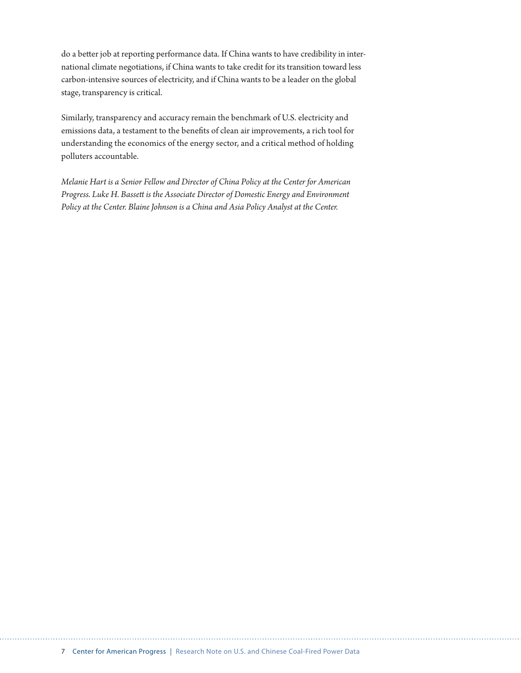do a better job at reporting performance data. If China wants to have credibility in international climate negotiations, if China wants to take credit for its transition toward less carbon-intensive sources of electricity, and if China wants to be a leader on the global stage, transparency is critical.

Similarly, transparency and accuracy remain the benchmark of U.S. electricity and emissions data, a testament to the benefits of clean air improvements, a rich tool for understanding the economics of the energy sector, and a critical method of holding polluters accountable.

*Melanie Hart is a Senior Fellow and Director of China Policy at the Center for American Progress. Luke H. Bassett is the Associate Director of Domestic Energy and Environment Policy at the Center. Blaine Johnson is a China and Asia Policy Analyst at the Center.*